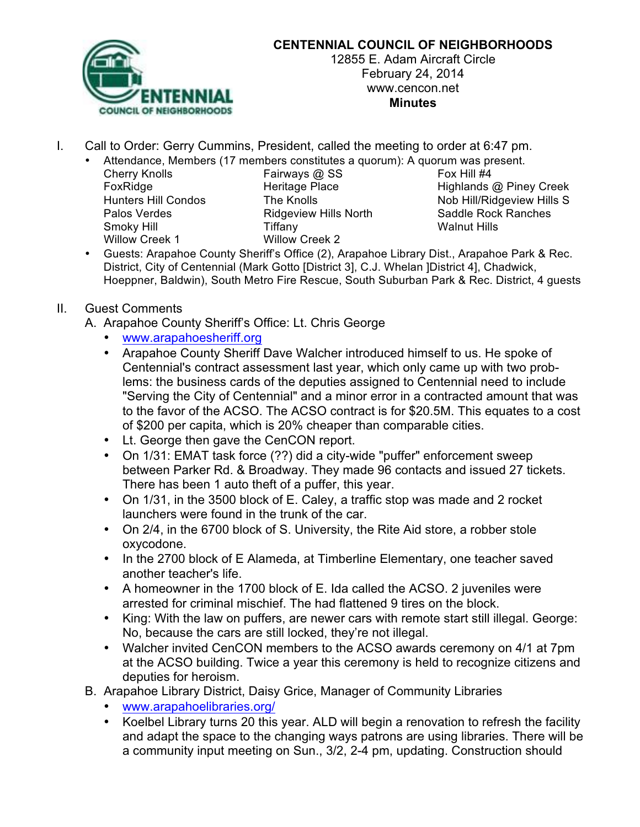

## **CENTENNIAL COUNCIL OF NEIGHBORHOODS**

12855 E. Adam Aircraft Circle February 24, 2014 www.cencon.net **Minutes**

- I. Call to Order: Gerry Cummins, President, called the meeting to order at 6:47 pm.
	- Attendance, Members (17 members constitutes a quorum): A quorum was present.
		- Cherry Knolls **Fairways @ SS** Fox Hill #4 Smoky Hill Tiffany Walnut Hills Willow Creek 1 Willow Creek 2

FoxRidge **Heritage Place** Highlands @ Piney Creek Hunters Hill Condos The Knolls Nob Hill/Ridgeview Hills S Palos Verdes **Ridgeview Hills North** Saddle Rock Ranches

• Guests: Arapahoe County Sheriff's Office (2), Arapahoe Library Dist., Arapahoe Park & Rec. District, City of Centennial (Mark Gotto [District 3], C.J. Whelan ]District 4], Chadwick, Hoeppner, Baldwin), South Metro Fire Rescue, South Suburban Park & Rec. District, 4 guests

## II. Guest Comments

- A. Arapahoe County Sheriff's Office: Lt. Chris George
	- www.arapahoesheriff.org
	- Arapahoe County Sheriff Dave Walcher introduced himself to us. He spoke of Centennial's contract assessment last year, which only came up with two problems: the business cards of the deputies assigned to Centennial need to include "Serving the City of Centennial" and a minor error in a contracted amount that was to the favor of the ACSO. The ACSO contract is for \$20.5M. This equates to a cost of \$200 per capita, which is 20% cheaper than comparable cities.
	- Lt. George then gave the CenCON report.
	- On 1/31: EMAT task force (??) did a city-wide "puffer" enforcement sweep between Parker Rd. & Broadway. They made 96 contacts and issued 27 tickets. There has been 1 auto theft of a puffer, this year.
	- On 1/31, in the 3500 block of E. Caley, a traffic stop was made and 2 rocket launchers were found in the trunk of the car.
	- On 2/4, in the 6700 block of S. University, the Rite Aid store, a robber stole oxycodone.
	- In the 2700 block of E Alameda, at Timberline Elementary, one teacher saved another teacher's life.
	- A homeowner in the 1700 block of E. Ida called the ACSO. 2 juveniles were arrested for criminal mischief. The had flattened 9 tires on the block.
	- King: With the law on puffers, are newer cars with remote start still illegal. George: No, because the cars are still locked, they're not illegal.
	- Walcher invited CenCON members to the ACSO awards ceremony on 4/1 at 7pm at the ACSO building. Twice a year this ceremony is held to recognize citizens and deputies for heroism.
- B. Arapahoe Library District, Daisy Grice, Manager of Community Libraries
	- www.arapahoelibraries.org/
	- Koelbel Library turns 20 this year. ALD will begin a renovation to refresh the facility and adapt the space to the changing ways patrons are using libraries. There will be a community input meeting on Sun., 3/2, 2-4 pm, updating. Construction should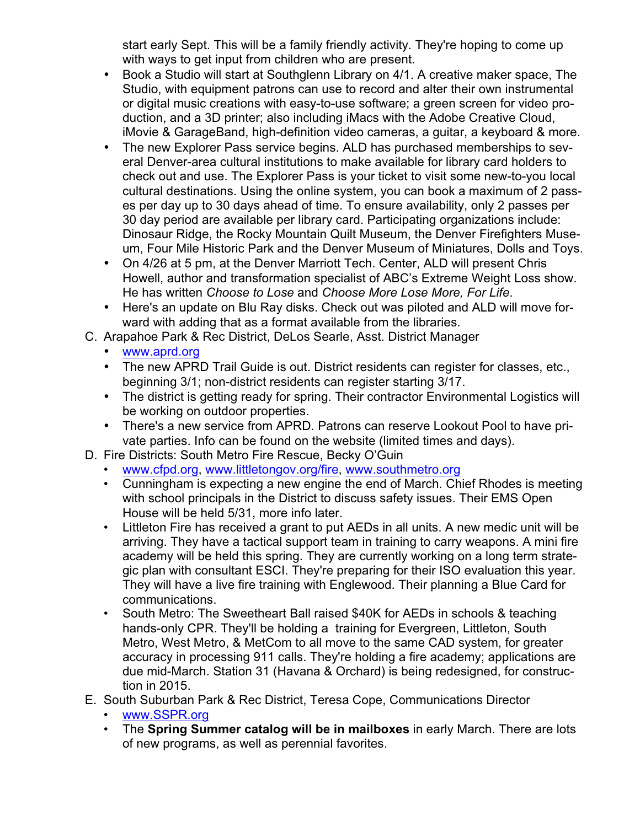start early Sept. This will be a family friendly activity. They're hoping to come up with ways to get input from children who are present.

- Book a Studio will start at Southglenn Library on 4/1. A creative maker space, The Studio, with equipment patrons can use to record and alter their own instrumental or digital music creations with easy-to-use software; a green screen for video production, and a 3D printer; also including iMacs with the Adobe Creative Cloud, iMovie & GarageBand, high-definition video cameras, a guitar, a keyboard & more.
- The new Explorer Pass service begins. ALD has purchased memberships to several Denver-area cultural institutions to make available for library card holders to check out and use. The Explorer Pass is your ticket to visit some new-to-you local cultural destinations. Using the online system, you can book a maximum of 2 passes per day up to 30 days ahead of time. To ensure availability, only 2 passes per 30 day period are available per library card. Participating organizations include: Dinosaur Ridge, the Rocky Mountain Quilt Museum, the Denver Firefighters Museum, Four Mile Historic Park and the Denver Museum of Miniatures, Dolls and Toys.
- On 4/26 at 5 pm, at the Denver Marriott Tech. Center, ALD will present Chris Howell, author and transformation specialist of ABC's Extreme Weight Loss show. He has written *Choose to Lose* and *Choose More Lose More, For Life*.
- Here's an update on Blu Ray disks. Check out was piloted and ALD will move forward with adding that as a format available from the libraries.
- C. Arapahoe Park & Rec District, DeLos Searle, Asst. District Manager
	- www.aprd.org
	- The new APRD Trail Guide is out. District residents can register for classes, etc., beginning 3/1; non-district residents can register starting 3/17.
	- The district is getting ready for spring. Their contractor Environmental Logistics will be working on outdoor properties.
	- There's a new service from APRD. Patrons can reserve Lookout Pool to have private parties. Info can be found on the website (limited times and days).
- D. Fire Districts: South Metro Fire Rescue, Becky O'Guin
	- www.cfpd.org, www.littletongov.org/fire, www.southmetro.org
	- Cunningham is expecting a new engine the end of March. Chief Rhodes is meeting with school principals in the District to discuss safety issues. Their EMS Open House will be held 5/31, more info later.
	- Littleton Fire has received a grant to put AEDs in all units. A new medic unit will be arriving. They have a tactical support team in training to carry weapons. A mini fire academy will be held this spring. They are currently working on a long term strategic plan with consultant ESCI. They're preparing for their ISO evaluation this year. They will have a live fire training with Englewood. Their planning a Blue Card for communications.
	- South Metro: The Sweetheart Ball raised \$40K for AEDs in schools & teaching hands-only CPR. They'll be holding a training for Evergreen, Littleton, South Metro, West Metro, & MetCom to all move to the same CAD system, for greater accuracy in processing 911 calls. They're holding a fire academy; applications are due mid-March. Station 31 (Havana & Orchard) is being redesigned, for construction in 2015.
- E. South Suburban Park & Rec District, Teresa Cope, Communications Director
	- www.SSPR.org
	- The **Spring Summer catalog will be in mailboxes** in early March. There are lots of new programs, as well as perennial favorites.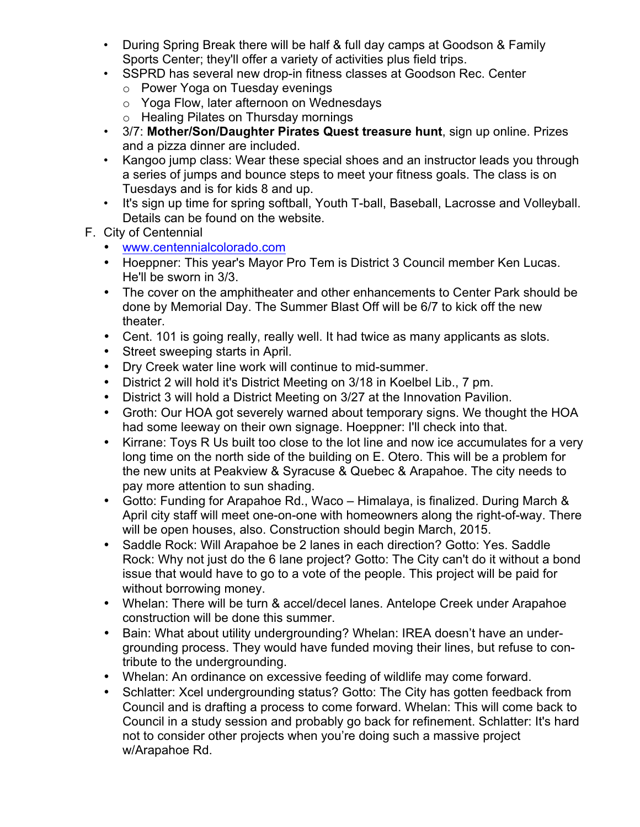- During Spring Break there will be half & full day camps at Goodson & Family Sports Center; they'll offer a variety of activities plus field trips.
- SSPRD has several new drop-in fitness classes at Goodson Rec. Center
	- o Power Yoga on Tuesday evenings
	- o Yoga Flow, later afternoon on Wednesdays
	- o Healing Pilates on Thursday mornings
- 3/7: **Mother/Son/Daughter Pirates Quest treasure hunt**, sign up online. Prizes and a pizza dinner are included.
- Kangoo jump class: Wear these special shoes and an instructor leads you through a series of jumps and bounce steps to meet your fitness goals. The class is on Tuesdays and is for kids 8 and up.
- It's sign up time for spring softball, Youth T-ball, Baseball, Lacrosse and Volleyball. Details can be found on the website.
- F. City of Centennial
	- www.centennialcolorado.com
	- Hoeppner: This year's Mayor Pro Tem is District 3 Council member Ken Lucas. He'll be sworn in 3/3.
	- The cover on the amphitheater and other enhancements to Center Park should be done by Memorial Day. The Summer Blast Off will be 6/7 to kick off the new theater.
	- Cent. 101 is going really, really well. It had twice as many applicants as slots.
	- Street sweeping starts in April.
	- Dry Creek water line work will continue to mid-summer.
	- District 2 will hold it's District Meeting on 3/18 in Koelbel Lib., 7 pm.
	- District 3 will hold a District Meeting on 3/27 at the Innovation Pavilion.
	- Groth: Our HOA got severely warned about temporary signs. We thought the HOA had some leeway on their own signage. Hoeppner: I'll check into that.
	- Kirrane: Toys R Us built too close to the lot line and now ice accumulates for a very long time on the north side of the building on E. Otero. This will be a problem for the new units at Peakview & Syracuse & Quebec & Arapahoe. The city needs to pay more attention to sun shading.
	- Gotto: Funding for Arapahoe Rd., Waco Himalaya, is finalized. During March & April city staff will meet one-on-one with homeowners along the right-of-way. There will be open houses, also. Construction should begin March, 2015.
	- Saddle Rock: Will Arapahoe be 2 lanes in each direction? Gotto: Yes. Saddle Rock: Why not just do the 6 lane project? Gotto: The City can't do it without a bond issue that would have to go to a vote of the people. This project will be paid for without borrowing money.
	- Whelan: There will be turn & accel/decel lanes. Antelope Creek under Arapahoe construction will be done this summer.
	- Bain: What about utility undergrounding? Whelan: IREA doesn't have an undergrounding process. They would have funded moving their lines, but refuse to contribute to the undergrounding.
	- Whelan: An ordinance on excessive feeding of wildlife may come forward.
	- Schlatter: Xcel undergrounding status? Gotto: The City has gotten feedback from Council and is drafting a process to come forward. Whelan: This will come back to Council in a study session and probably go back for refinement. Schlatter: It's hard not to consider other projects when you're doing such a massive project w/Arapahoe Rd.